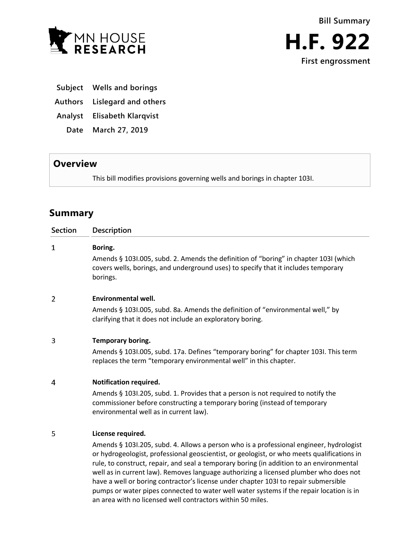

- **Subject Wells and borings**
- **Authors Lislegard and others**
- **Analyst Elisabeth Klarqvist**
	- **Date March 27, 2019**

## **Overview**

This bill modifies provisions governing wells and borings in chapter 103I.

# **Summary**

| <b>Section</b> | <b>Description</b>                                                                                                                                                                                      |
|----------------|---------------------------------------------------------------------------------------------------------------------------------------------------------------------------------------------------------|
| 1              | Boring.                                                                                                                                                                                                 |
|                | Amends § 1031.005, subd. 2. Amends the definition of "boring" in chapter 1031 (which<br>covers wells, borings, and underground uses) to specify that it includes temporary<br>borings.                  |
| 2              | <b>Environmental well.</b>                                                                                                                                                                              |
|                | Amends § 1031.005, subd. 8a. Amends the definition of "environmental well," by<br>clarifying that it does not include an exploratory boring.                                                            |
| 3              | Temporary boring.                                                                                                                                                                                       |
|                | Amends § 1031.005, subd. 17a. Defines "temporary boring" for chapter 1031. This term<br>replaces the term "temporary environmental well" in this chapter.                                               |
| 4              | Notification required.                                                                                                                                                                                  |
|                | Amends § 1031.205, subd. 1. Provides that a person is not required to notify the<br>commissioner before constructing a temporary boring (instead of temporary<br>environmental well as in current law). |
| 5              | License required.                                                                                                                                                                                       |

Amends § 103I.205, subd. 4. Allows a person who is a professional engineer, hydrologist or hydrogeologist, professional geoscientist, or geologist, or who meets qualifications in rule, to construct, repair, and seal a temporary boring (in addition to an environmental well as in current law). Removes language authorizing a licensed plumber who does not have a well or boring contractor's license under chapter 103I to repair submersible pumps or water pipes connected to water well water systems if the repair location is in an area with no licensed well contractors within 50 miles.